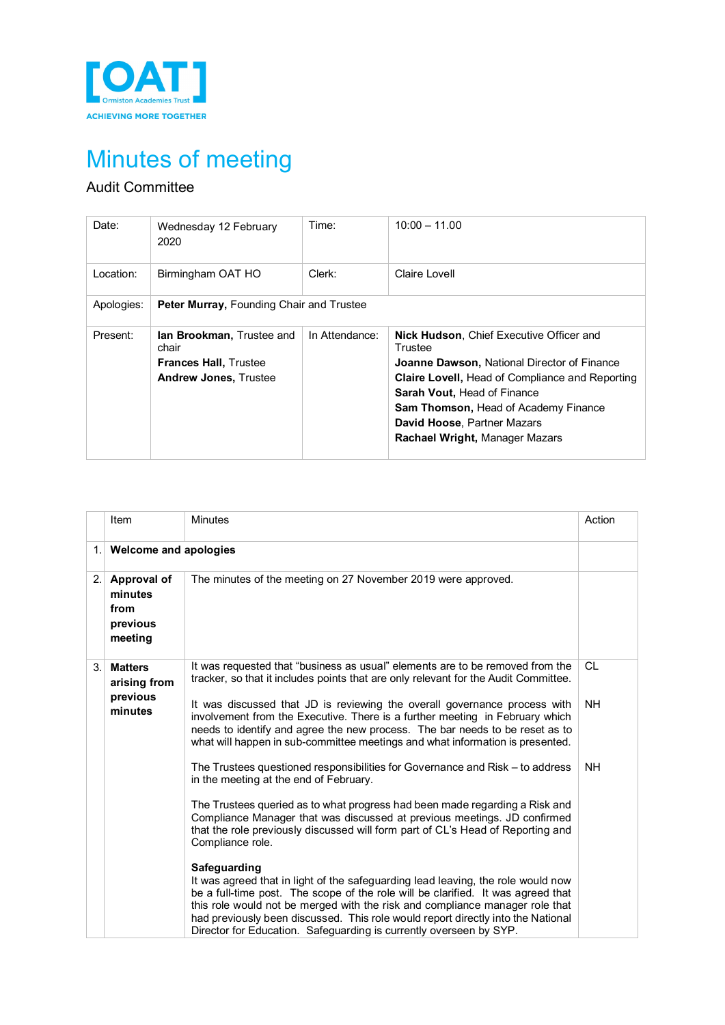

## Minutes of meeting

## Audit Committee

| Date:      | Wednesday 12 February<br>2020                                                                             | Time:          | $10:00 - 11.00$                                                                                                                                                                                                                                                                                                                         |  |  |
|------------|-----------------------------------------------------------------------------------------------------------|----------------|-----------------------------------------------------------------------------------------------------------------------------------------------------------------------------------------------------------------------------------------------------------------------------------------------------------------------------------------|--|--|
| Location:  | Birmingham OAT HO                                                                                         | Clerk:         | Claire Lovell                                                                                                                                                                                                                                                                                                                           |  |  |
| Apologies: | <b>Peter Murray, Founding Chair and Trustee</b>                                                           |                |                                                                                                                                                                                                                                                                                                                                         |  |  |
| Present:   | <b>Ian Brookman, Trustee and</b><br>chair<br><b>Frances Hall, Trustee</b><br><b>Andrew Jones, Trustee</b> | In Attendance: | <b>Nick Hudson, Chief Executive Officer and</b><br>Trustee<br><b>Joanne Dawson, National Director of Finance</b><br><b>Claire Lovell, Head of Compliance and Reporting</b><br><b>Sarah Vout, Head of Finance</b><br><b>Sam Thomson, Head of Academy Finance</b><br>David Hoose, Partner Mazars<br><b>Rachael Wright, Manager Mazars</b> |  |  |

| The minutes of the meeting on 27 November 2019 were approved.                                                                                                                                                                                                                                                                                                                                                                                                                                                                                        |
|------------------------------------------------------------------------------------------------------------------------------------------------------------------------------------------------------------------------------------------------------------------------------------------------------------------------------------------------------------------------------------------------------------------------------------------------------------------------------------------------------------------------------------------------------|
|                                                                                                                                                                                                                                                                                                                                                                                                                                                                                                                                                      |
|                                                                                                                                                                                                                                                                                                                                                                                                                                                                                                                                                      |
| It was requested that "business as usual" elements are to be removed from the<br><b>CL</b><br>tracker, so that it includes points that are only relevant for the Audit Committee.<br>It was discussed that JD is reviewing the overall governance process with<br><b>NH</b><br>involvement from the Executive. There is a further meeting in February which<br>needs to identify and agree the new process. The bar needs to be reset as to<br>what will happen in sub-committee meetings and what information is presented.                         |
| The Trustees questioned responsibilities for Governance and Risk - to address<br>NH.<br>in the meeting at the end of February.<br>The Trustees queried as to what progress had been made regarding a Risk and<br>Compliance Manager that was discussed at previous meetings. JD confirmed<br>that the role previously discussed will form part of CL's Head of Reporting and<br>It was agreed that in light of the safeguarding lead leaving, the role would now<br>be a full-time post. The scope of the role will be clarified. It was agreed that |
| this role would not be merged with the risk and compliance manager role that<br>had previously been discussed. This role would report directly into the National                                                                                                                                                                                                                                                                                                                                                                                     |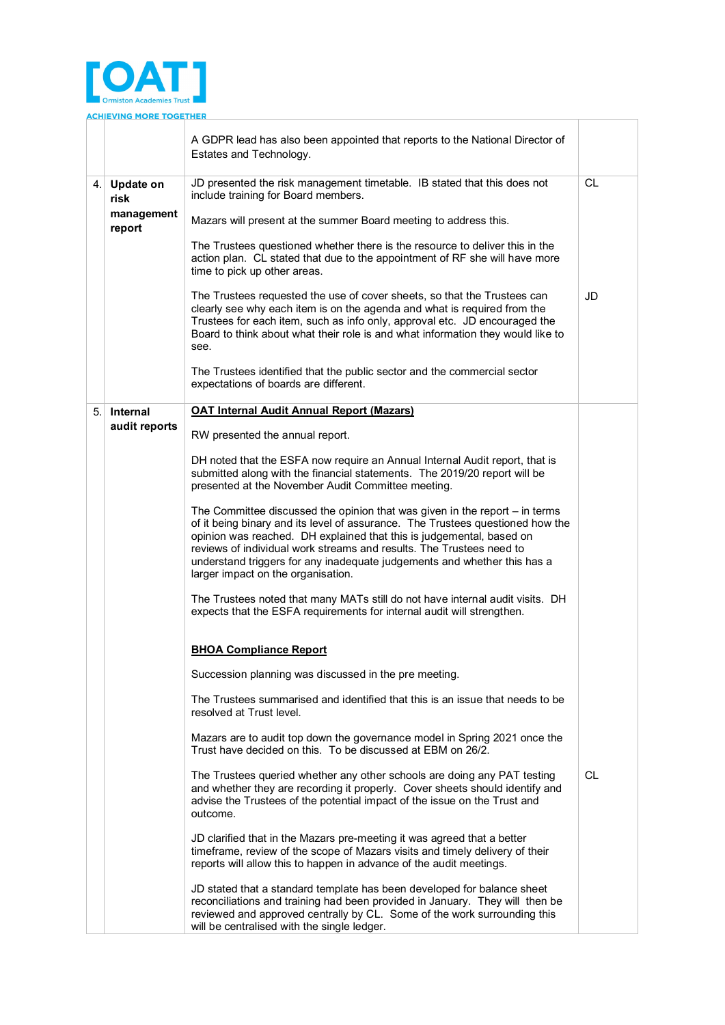

A GDPR lead has also been appointed that reports to the National Director of Estates and Technology. 4. **Update on risk management report** JD presented the risk management timetable. IB stated that this does not include training for Board members. Mazars will present at the summer Board meeting to address this. The Trustees questioned whether there is the resource to deliver this in the action plan. CL stated that due to the appointment of RF she will have more time to pick up other areas. The Trustees requested the use of cover sheets, so that the Trustees can clearly see why each item is on the agenda and what is required from the Trustees for each item, such as info only, approval etc. JD encouraged the Board to think about what their role is and what information they would like to see. The Trustees identified that the public sector and the commercial sector expectations of boards are different.  $CI$ JD 5. **Internal audit reports OAT Internal Audit Annual Report (Mazars)** RW presented the annual report. DH noted that the ESFA now require an Annual Internal Audit report, that is submitted along with the financial statements. The 2019/20 report will be presented at the November Audit Committee meeting. The Committee discussed the opinion that was given in the report – in terms of it being binary and its level of assurance. The Trustees questioned how the opinion was reached. DH explained that this is judgemental, based on reviews of individual work streams and results. The Trustees need to understand triggers for any inadequate judgements and whether this has a larger impact on the organisation. The Trustees noted that many MATs still do not have internal audit visits. DH expects that the ESFA requirements for internal audit will strengthen. **BHOA Compliance Report** Succession planning was discussed in the pre meeting. The Trustees summarised and identified that this is an issue that needs to be resolved at Trust level. Mazars are to audit top down the governance model in Spring 2021 once the Trust have decided on this. To be discussed at EBM on 26/2. The Trustees queried whether any other schools are doing any PAT testing and whether they are recording it properly. Cover sheets should identify and advise the Trustees of the potential impact of the issue on the Trust and outcome. JD clarified that in the Mazars pre-meeting it was agreed that a better timeframe, review of the scope of Mazars visits and timely delivery of their reports will allow this to happen in advance of the audit meetings. JD stated that a standard template has been developed for balance sheet reconciliations and training had been provided in January. They will then be reviewed and approved centrally by CL. Some of the work surrounding this will be centralised with the single ledger. CL